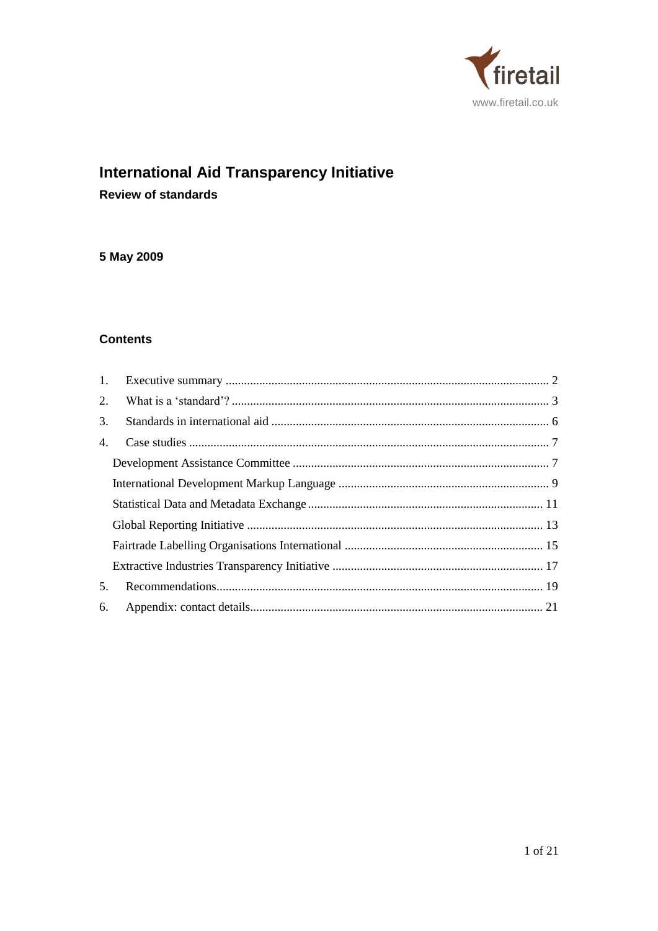

# **International Aid Transparency Initiative**

**Review of standards** 

## 5 May 2009

## **Contents**

| $\mathbf{1}$ . |  |  |  |
|----------------|--|--|--|
| 2.             |  |  |  |
| 3.             |  |  |  |
| 4.             |  |  |  |
|                |  |  |  |
|                |  |  |  |
|                |  |  |  |
|                |  |  |  |
|                |  |  |  |
|                |  |  |  |
| 5.             |  |  |  |
| 6.             |  |  |  |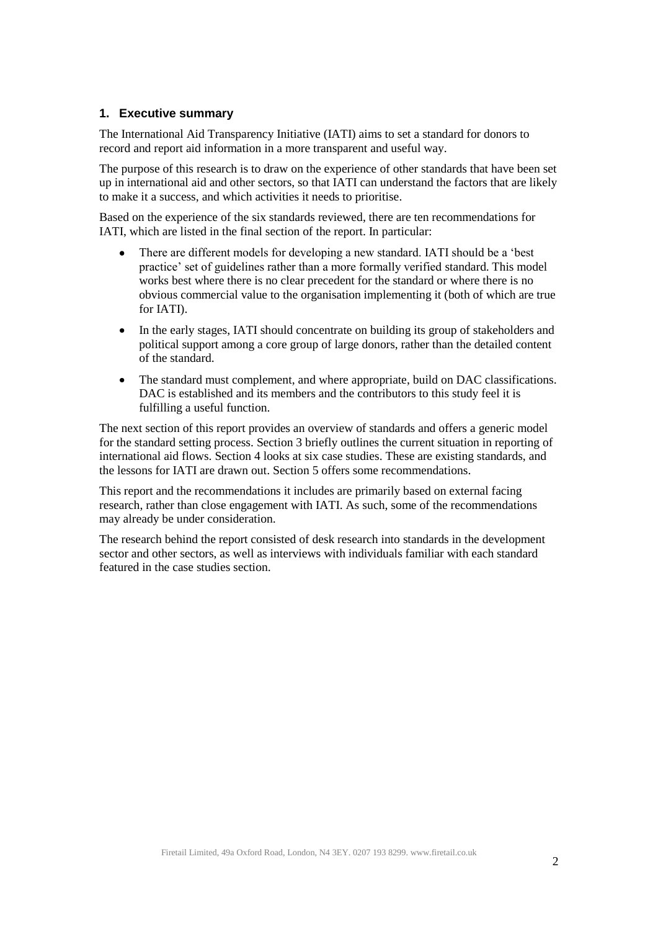## <span id="page-1-0"></span>**1. Executive summary**

The International Aid Transparency Initiative (IATI) aims to set a standard for donors to record and report aid information in a more transparent and useful way.

The purpose of this research is to draw on the experience of other standards that have been set up in international aid and other sectors, so that IATI can understand the factors that are likely to make it a success, and which activities it needs to prioritise.

Based on the experience of the six standards reviewed, there are ten recommendations for IATI, which are listed in the final section of the report. In particular:

- There are different models for developing a new standard. IATI should be a 'best  $\bullet$ practice' set of guidelines rather than a more formally verified standard. This model works best where there is no clear precedent for the standard or where there is no obvious commercial value to the organisation implementing it (both of which are true for IATI).
- $\bullet$ In the early stages, IATI should concentrate on building its group of stakeholders and political support among a core group of large donors, rather than the detailed content of the standard.
- $\bullet$ The standard must complement, and where appropriate, build on DAC classifications. DAC is established and its members and the contributors to this study feel it is fulfilling a useful function.

The next section of this report provides an overview of standards and offers a generic model for the standard setting process. Section 3 briefly outlines the current situation in reporting of international aid flows. Section 4 looks at six case studies. These are existing standards, and the lessons for IATI are drawn out. Section 5 offers some recommendations.

This report and the recommendations it includes are primarily based on external facing research, rather than close engagement with IATI. As such, some of the recommendations may already be under consideration.

The research behind the report consisted of desk research into standards in the development sector and other sectors, as well as interviews with individuals familiar with each standard featured in the case studies section.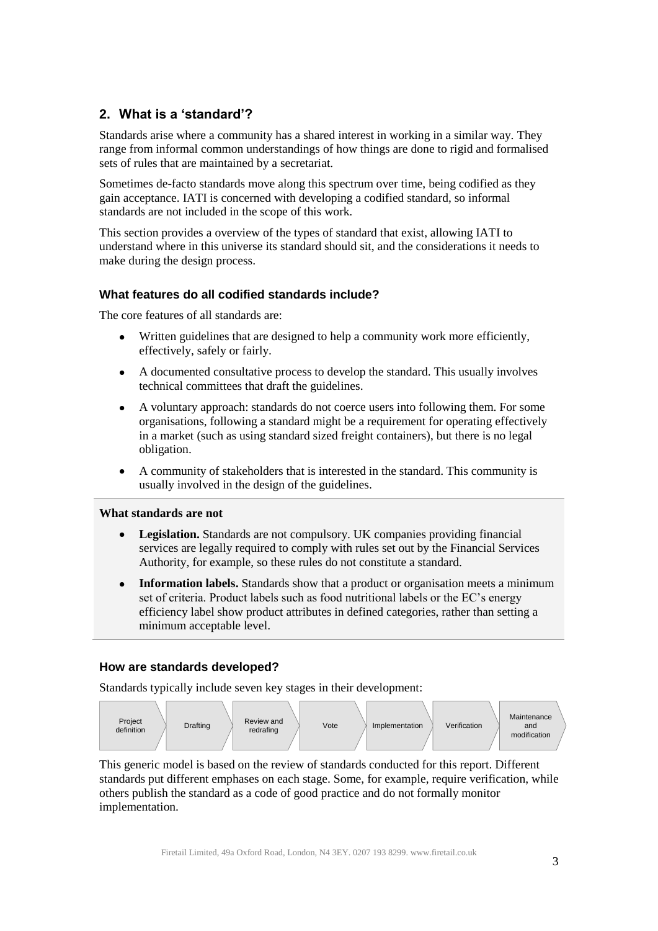## <span id="page-2-0"></span>**2. What is a 'standard'?**

Standards arise where a community has a shared interest in working in a similar way. They range from informal common understandings of how things are done to rigid and formalised sets of rules that are maintained by a secretariat.

Sometimes de-facto standards move along this spectrum over time, being codified as they gain acceptance. IATI is concerned with developing a codified standard, so informal standards are not included in the scope of this work.

This section provides a overview of the types of standard that exist, allowing IATI to understand where in this universe its standard should sit, and the considerations it needs to make during the design process.

## **What features do all codified standards include?**

The core features of all standards are:

- Written guidelines that are designed to help a community work more efficiently,  $\bullet$ effectively, safely or fairly.
- $\bullet$ A documented consultative process to develop the standard. This usually involves technical committees that draft the guidelines.
- A voluntary approach: standards do not coerce users into following them. For some  $\bullet$ organisations, following a standard might be a requirement for operating effectively in a market (such as using standard sized freight containers), but there is no legal obligation.
- A community of stakeholders that is interested in the standard. This community is  $\bullet$ usually involved in the design of the guidelines.

#### **What standards are not**

- **Legislation.** Standards are not compulsory. UK companies providing financial services are legally required to comply with rules set out by the Financial Services Authority, for example, so these rules do not constitute a standard.
- **Information labels.** Standards show that a product or organisation meets a minimum set of criteria. Product labels such as food nutritional labels or the EC's energy efficiency label show product attributes in defined categories, rather than setting a minimum acceptable level.

#### **How are standards developed?**

Standards typically include seven key stages in their development:



This generic model is based on the review of standards conducted for this report. Different standards put different emphases on each stage. Some, for example, require verification, while others publish the standard as a code of good practice and do not formally monitor implementation.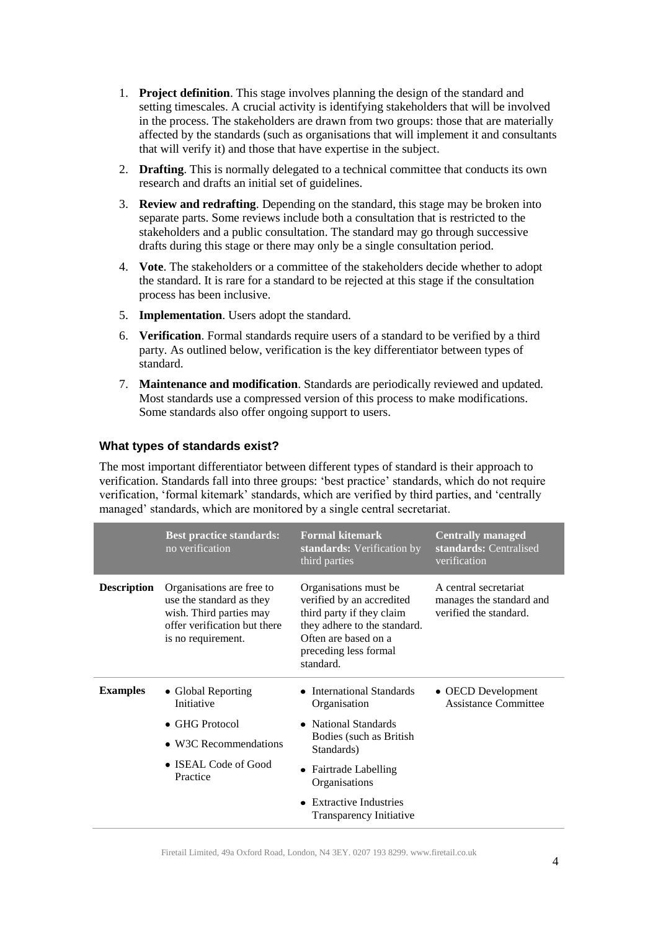- 1. **Project definition**. This stage involves planning the design of the standard and setting timescales. A crucial activity is identifying stakeholders that will be involved in the process. The stakeholders are drawn from two groups: those that are materially affected by the standards (such as organisations that will implement it and consultants that will verify it) and those that have expertise in the subject.
- 2. **Drafting**. This is normally delegated to a technical committee that conducts its own research and drafts an initial set of guidelines.
- 3. **Review and redrafting**. Depending on the standard, this stage may be broken into separate parts. Some reviews include both a consultation that is restricted to the stakeholders and a public consultation. The standard may go through successive drafts during this stage or there may only be a single consultation period.
- 4. **Vote**. The stakeholders or a committee of the stakeholders decide whether to adopt the standard. It is rare for a standard to be rejected at this stage if the consultation process has been inclusive.
- 5. **Implementation**. Users adopt the standard.
- 6. **Verification**. Formal standards require users of a standard to be verified by a third party. As outlined below, verification is the key differentiator between types of standard.
- 7. **Maintenance and modification**. Standards are periodically reviewed and updated. Most standards use a compressed version of this process to make modifications. Some standards also offer ongoing support to users.

#### **What types of standards exist?**

The most important differentiator between different types of standard is their approach to verification. Standards fall into three groups: 'best practice' standards, which do not require verification, 'formal kitemark' standards, which are verified by third parties, and 'centrally managed' standards, which are monitored by a single central secretariat.

|                    | <b>Best practice standards:</b><br>no verification                                                                                     | <b>Formal kitemark</b><br>standards: Verification by<br>third parties                                                                                                         | <b>Centrally managed</b><br>standards: Centralised<br>verification          |
|--------------------|----------------------------------------------------------------------------------------------------------------------------------------|-------------------------------------------------------------------------------------------------------------------------------------------------------------------------------|-----------------------------------------------------------------------------|
| <b>Description</b> | Organisations are free to<br>use the standard as they<br>wish. Third parties may<br>offer verification but there<br>is no requirement. | Organisations must be<br>verified by an accredited<br>third party if they claim<br>they adhere to the standard.<br>Often are based on a<br>preceding less formal<br>standard. | A central secretariat<br>manages the standard and<br>verified the standard. |
| <b>Examples</b>    | • Global Reporting<br>Initiative                                                                                                       | International Standards<br>Organisation                                                                                                                                       | • OECD Development<br><b>Assistance Committee</b>                           |
|                    | $\bullet$ GHG Protocol<br>• W3C Recommendations<br>• ISEAL Code of Good<br>Practice                                                    | • National Standards<br>Bodies (such as British<br>Standards)                                                                                                                 |                                                                             |
|                    |                                                                                                                                        |                                                                                                                                                                               |                                                                             |
|                    |                                                                                                                                        | • Fairtrade Labelling<br>Organisations                                                                                                                                        |                                                                             |
|                    |                                                                                                                                        | <b>Extractive Industries</b><br>Transparency Initiative                                                                                                                       |                                                                             |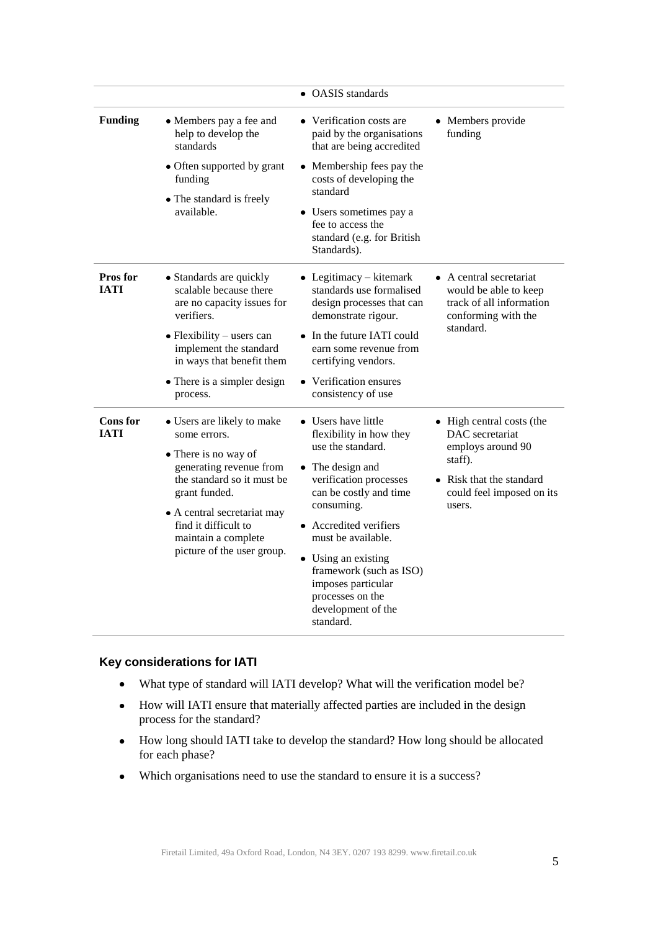|                                |                                                                                                                                                                                                                                                          | • OASIS standards                                                                                                                                                                                                                                                                                                                        |                                                                                                                                               |
|--------------------------------|----------------------------------------------------------------------------------------------------------------------------------------------------------------------------------------------------------------------------------------------------------|------------------------------------------------------------------------------------------------------------------------------------------------------------------------------------------------------------------------------------------------------------------------------------------------------------------------------------------|-----------------------------------------------------------------------------------------------------------------------------------------------|
| <b>Funding</b>                 | • Members pay a fee and<br>help to develop the<br>standards<br>• Often supported by grant<br>funding<br>• The standard is freely                                                                                                                         | • Verification costs are<br>paid by the organisations<br>that are being accredited                                                                                                                                                                                                                                                       | • Members provide<br>funding                                                                                                                  |
|                                |                                                                                                                                                                                                                                                          | • Membership fees pay the<br>costs of developing the<br>standard                                                                                                                                                                                                                                                                         |                                                                                                                                               |
|                                | available.                                                                                                                                                                                                                                               | • Users sometimes pay a<br>fee to access the<br>standard (e.g. for British<br>Standards).                                                                                                                                                                                                                                                |                                                                                                                                               |
| <b>Pros</b> for<br><b>IATI</b> | • Standards are quickly<br>scalable because there<br>are no capacity issues for<br>verifiers.<br>$\bullet$ Flexibility – users can<br>implement the standard<br>in ways that benefit them<br>• There is a simpler design<br>process.                     | $\bullet$ Legitimacy – kitemark<br>standards use formalised<br>design processes that can<br>demonstrate rigour.                                                                                                                                                                                                                          | A central secretariat<br>would be able to keep<br>track of all information<br>conforming with the                                             |
|                                |                                                                                                                                                                                                                                                          | • In the future IATI could<br>earn some revenue from<br>certifying vendors.                                                                                                                                                                                                                                                              | standard.                                                                                                                                     |
|                                |                                                                                                                                                                                                                                                          | • Verification ensures<br>consistency of use                                                                                                                                                                                                                                                                                             |                                                                                                                                               |
| <b>Cons</b> for<br><b>IATI</b> | • Users are likely to make<br>some errors.<br>• There is no way of<br>generating revenue from<br>the standard so it must be<br>grant funded.<br>• A central secretariat may<br>find it difficult to<br>maintain a complete<br>picture of the user group. | • Users have little<br>flexibility in how they<br>use the standard.<br>• The design and<br>verification processes<br>can be costly and time<br>consuming.<br>• Accredited verifiers<br>must be available.<br>• Using an existing<br>framework (such as ISO)<br>imposes particular<br>processes on the<br>development of the<br>standard. | • High central costs (the<br>DAC secretariat<br>employs around 90<br>staff).<br>Risk that the standard<br>could feel imposed on its<br>users. |

## **Key considerations for IATI**

- $\bullet$ What type of standard will IATI develop? What will the verification model be?
- $\bullet$ How will IATI ensure that materially affected parties are included in the design process for the standard?
- How long should IATI take to develop the standard? How long should be allocated  $\bullet$ for each phase?
- Which organisations need to use the standard to ensure it is a success? $\bullet$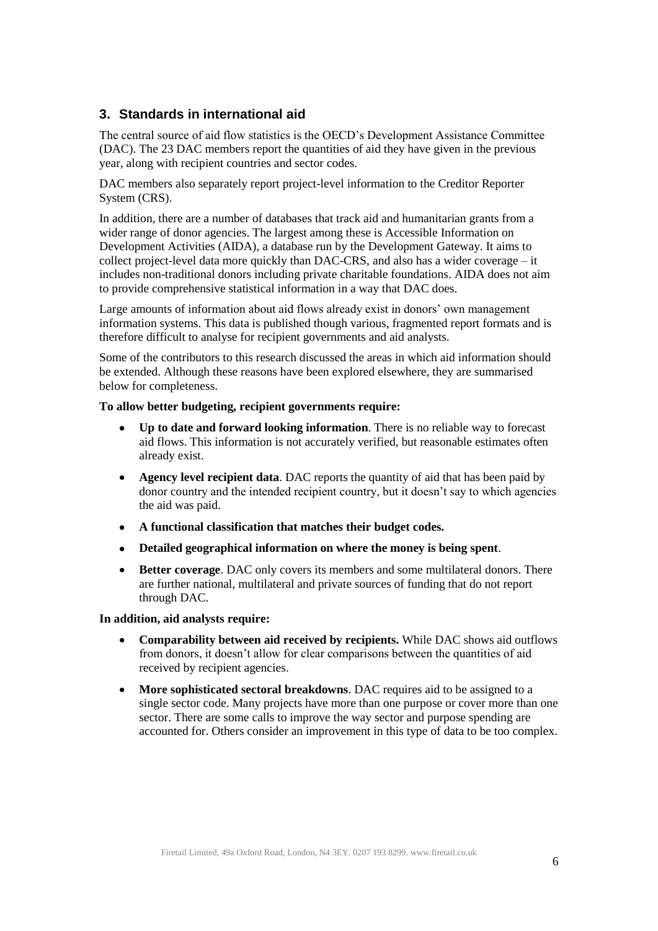## <span id="page-5-0"></span>**3. Standards in international aid**

The central source of aid flow statistics is the OECD's Development Assistance Committee (DAC). The 23 DAC members report the quantities of aid they have given in the previous year, along with recipient countries and sector codes.

DAC members also separately report project-level information to the Creditor Reporter System (CRS).

In addition, there are a number of databases that track aid and humanitarian grants from a wider range of donor agencies. The largest among these is Accessible Information on Development Activities (AIDA), a database run by the Development Gateway. It aims to collect project-level data more quickly than DAC-CRS, and also has a wider coverage – it includes non-traditional donors including private charitable foundations. AIDA does not aim to provide comprehensive statistical information in a way that DAC does.

Large amounts of information about aid flows already exist in donors' own management information systems. This data is published though various, fragmented report formats and is therefore difficult to analyse for recipient governments and aid analysts.

Some of the contributors to this research discussed the areas in which aid information should be extended. Although these reasons have been explored elsewhere, they are summarised below for completeness.

#### **To allow better budgeting, recipient governments require:**

- $\bullet$ **Up to date and forward looking information**. There is no reliable way to forecast aid flows. This information is not accurately verified, but reasonable estimates often already exist.
- **Agency level recipient data**. DAC reports the quantity of aid that has been paid by  $\bullet$ donor country and the intended recipient country, but it doesn't say to which agencies the aid was paid.
- $\bullet$ **A functional classification that matches their budget codes.**
- **Detailed geographical information on where the money is being spent**.  $\bullet$
- **Better coverage**. DAC only covers its members and some multilateral donors. There  $\bullet$ are further national, multilateral and private sources of funding that do not report through DAC.

#### **In addition, aid analysts require:**

- **Comparability between aid received by recipients.** While DAC shows aid outflows  $\bullet$ from donors, it doesn't allow for clear comparisons between the quantities of aid received by recipient agencies.
- **More sophisticated sectoral breakdowns**. DAC requires aid to be assigned to a  $\bullet$ single sector code. Many projects have more than one purpose or cover more than one sector. There are some calls to improve the way sector and purpose spending are accounted for. Others consider an improvement in this type of data to be too complex.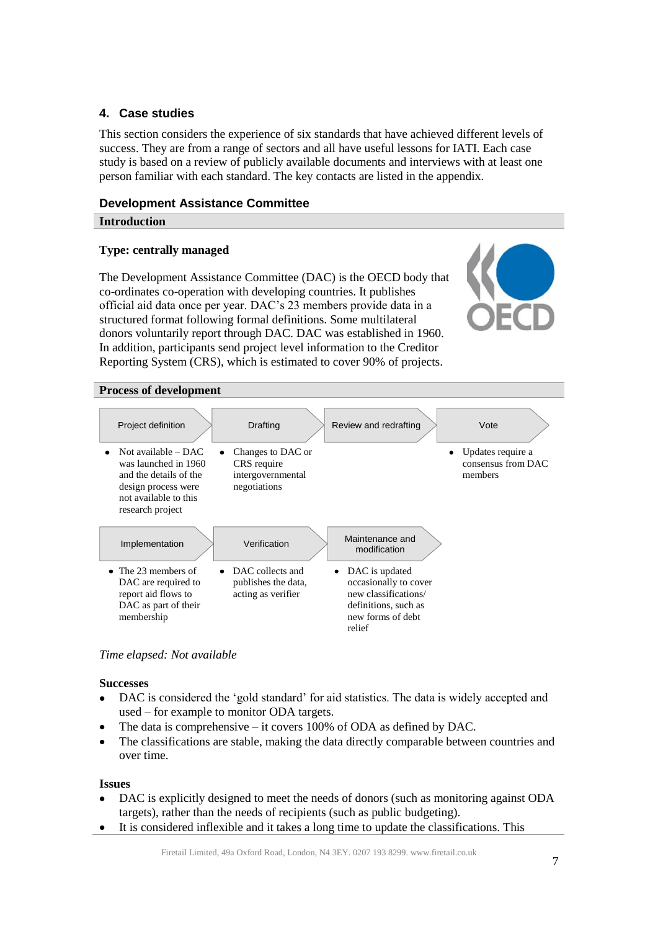## <span id="page-6-0"></span>**4. Case studies**

This section considers the experience of six standards that have achieved different levels of success. They are from a range of sectors and all have useful lessons for IATI. Each case study is based on a review of publicly available documents and interviews with at least one person familiar with each standard. The key contacts are listed in the appendix.

## <span id="page-6-1"></span>**Development Assistance Committee**

## **Introduction**

## **Type: centrally managed**

The Development Assistance Committee (DAC) is the OECD body that co-ordinates co-operation with developing countries. It publishes official aid data once per year. DAC's 23 members provide data in a structured format following formal definitions. Some multilateral donors voluntarily report through DAC. DAC was established in 1960. In addition, participants send project level information to the Creditor Reporting System (CRS), which is estimated to cover 90% of projects.



#### **Process of development**



*Time elapsed: Not available*

#### **Successes**

- $\bullet$ DAC is considered the 'gold standard' for aid statistics. The data is widely accepted and used – for example to monitor ODA targets.
- The data is comprehensive it covers 100% of ODA as defined by DAC.
- The classifications are stable, making the data directly comparable between countries and over time.

#### **Issues**

- DAC is explicitly designed to meet the needs of donors (such as monitoring against ODA targets), rather than the needs of recipients (such as public budgeting).
- It is considered inflexible and it takes a long time to update the classifications. This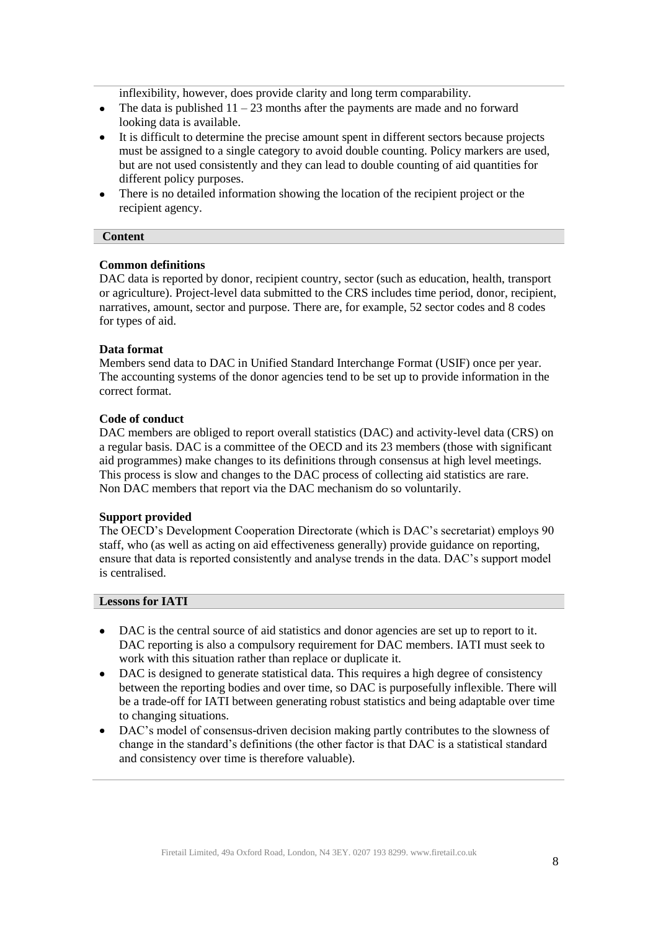inflexibility, however, does provide clarity and long term comparability.

- The data is published  $11 23$  months after the payments are made and no forward  $\bullet$ looking data is available.
- It is difficult to determine the precise amount spent in different sectors because projects must be assigned to a single category to avoid double counting. Policy markers are used, but are not used consistently and they can lead to double counting of aid quantities for different policy purposes.
- There is no detailed information showing the location of the recipient project or the  $\bullet$ recipient agency.

#### **Content**

#### **Common definitions**

DAC data is reported by donor, recipient country, sector (such as education, health, transport or agriculture). Project-level data submitted to the CRS includes time period, donor, recipient, narratives, amount, sector and purpose. There are, for example, 52 sector codes and 8 codes for types of aid.

#### **Data format**

Members send data to DAC in Unified Standard Interchange Format (USIF) once per year. The accounting systems of the donor agencies tend to be set up to provide information in the correct format.

#### **Code of conduct**

DAC members are obliged to report overall statistics (DAC) and activity-level data (CRS) on a regular basis. DAC is a committee of the OECD and its 23 members (those with significant aid programmes) make changes to its definitions through consensus at high level meetings. This process is slow and changes to the DAC process of collecting aid statistics are rare. Non DAC members that report via the DAC mechanism do so voluntarily.

#### **Support provided**

The OECD's Development Cooperation Directorate (which is DAC's secretariat) employs 90 staff, who (as well as acting on aid effectiveness generally) provide guidance on reporting, ensure that data is reported consistently and analyse trends in the data. DAC's support model is centralised.

- DAC is the central source of aid statistics and donor agencies are set up to report to it.  $\bullet$ DAC reporting is also a compulsory requirement for DAC members. IATI must seek to work with this situation rather than replace or duplicate it.
- DAC is designed to generate statistical data. This requires a high degree of consistency  $\bullet$ between the reporting bodies and over time, so DAC is purposefully inflexible. There will be a trade-off for IATI between generating robust statistics and being adaptable over time to changing situations.
- $\bullet$ DAC's model of consensus-driven decision making partly contributes to the slowness of change in the standard's definitions (the other factor is that DAC is a statistical standard and consistency over time is therefore valuable).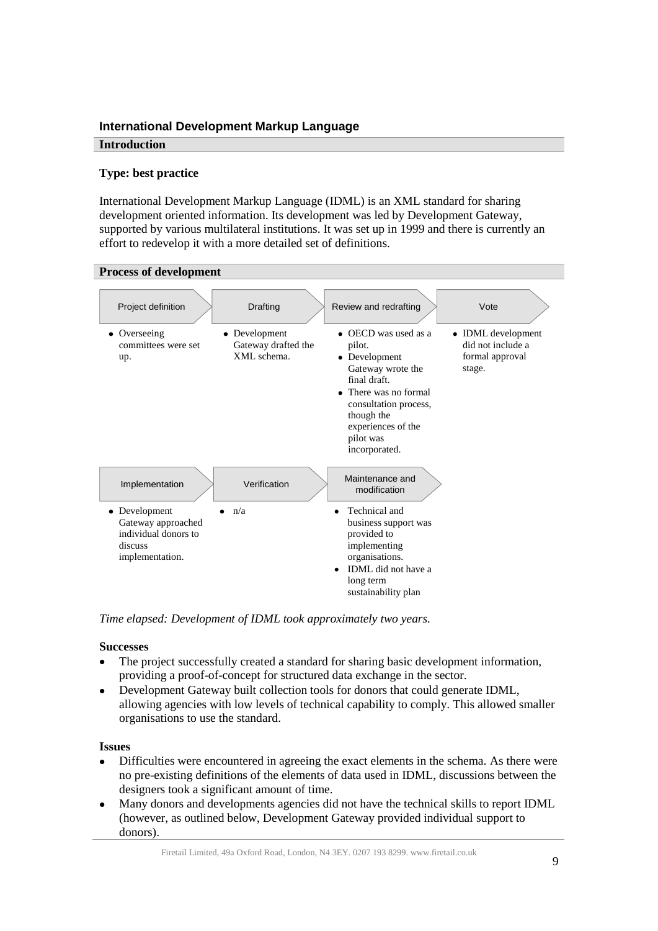## <span id="page-8-0"></span>**International Development Markup Language**

#### **Introduction**

## **Type: best practice**

International Development Markup Language (IDML) is an XML standard for sharing development oriented information. Its development was led by Development Gateway, supported by various multilateral institutions. It was set up in 1999 and there is currently an effort to redevelop it with a more detailed set of definitions.



*Time elapsed: Development of IDML took approximately two years.* 

#### **Successes**

- $\bullet$ The project successfully created a standard for sharing basic development information, providing a proof-of-concept for structured data exchange in the sector.
- Development Gateway built collection tools for donors that could generate IDML, allowing agencies with low levels of technical capability to comply. This allowed smaller organisations to use the standard.

#### **Issues**

- Difficulties were encountered in agreeing the exact elements in the schema. As there were  $\bullet$ no pre-existing definitions of the elements of data used in IDML, discussions between the designers took a significant amount of time.
- Many donors and developments agencies did not have the technical skills to report IDML (however, as outlined below, Development Gateway provided individual support to donors).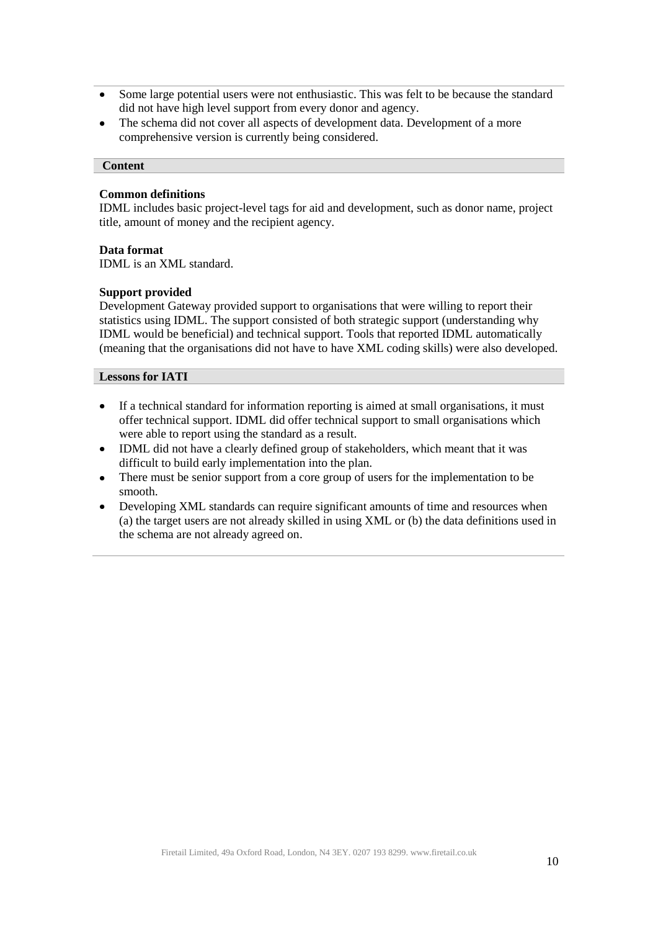- Some large potential users were not enthusiastic. This was felt to be because the standard did not have high level support from every donor and agency.
- The schema did not cover all aspects of development data. Development of a more  $\bullet$ comprehensive version is currently being considered.

#### **Content**

#### **Common definitions**

IDML includes basic project-level tags for aid and development, such as donor name, project title, amount of money and the recipient agency.

#### **Data format**

IDML is an XML standard.

#### **Support provided**

Development Gateway provided support to organisations that were willing to report their statistics using IDML. The support consisted of both strategic support (understanding why IDML would be beneficial) and technical support. Tools that reported IDML automatically (meaning that the organisations did not have to have XML coding skills) were also developed.

- If a technical standard for information reporting is aimed at small organisations, it must  $\bullet$ offer technical support. IDML did offer technical support to small organisations which were able to report using the standard as a result.
- IDML did not have a clearly defined group of stakeholders, which meant that it was  $\bullet$  . difficult to build early implementation into the plan.
- There must be senior support from a core group of users for the implementation to be  $\bullet$ smooth.
- Developing XML standards can require significant amounts of time and resources when  $\bullet$ (a) the target users are not already skilled in using XML or (b) the data definitions used in the schema are not already agreed on.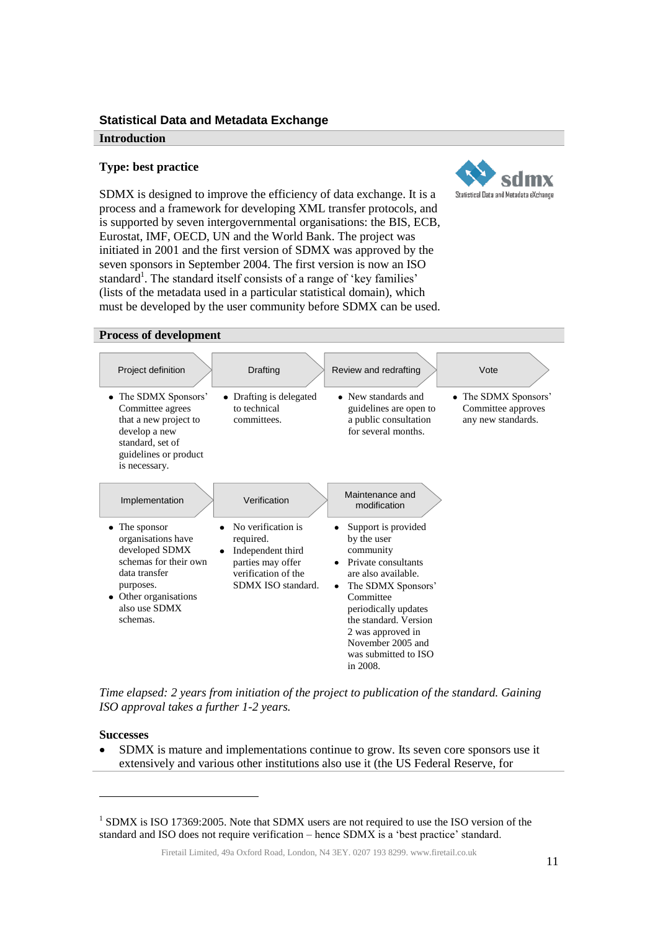#### <span id="page-10-0"></span>**Statistical Data and Metadata Exchange**

#### **Introduction**

#### **Type: best practice**



SDMX is designed to improve the efficiency of data exchange. It is a process and a framework for developing XML transfer protocols, and is supported by seven intergovernmental organisations: the BIS, ECB, Eurostat, IMF, OECD, UN and the World Bank. The project was initiated in 2001 and the first version of SDMX was approved by the seven sponsors in September 2004. The first version is now an ISO standard<sup>1</sup>. The standard itself consists of a range of 'key families' (lists of the metadata used in a particular statistical domain), which must be developed by the user community before SDMX can be used.

### **Process of development**



*Time elapsed: 2 years from initiation of the project to publication of the standard. Gaining ISO approval takes a further 1-2 years.*

#### **Successes**

l

SDMX is mature and implementations continue to grow. Its seven core sponsors use it extensively and various other institutions also use it (the US Federal Reserve, for

<sup>&</sup>lt;sup>1</sup> SDMX is ISO 17369:2005. Note that SDMX users are not required to use the ISO version of the standard and ISO does not require verification – hence SDMX is a 'best practice' standard.

Firetail Limited, 49a Oxford Road, London, N4 3EY. 0207 193 8299. www.firetail.co.uk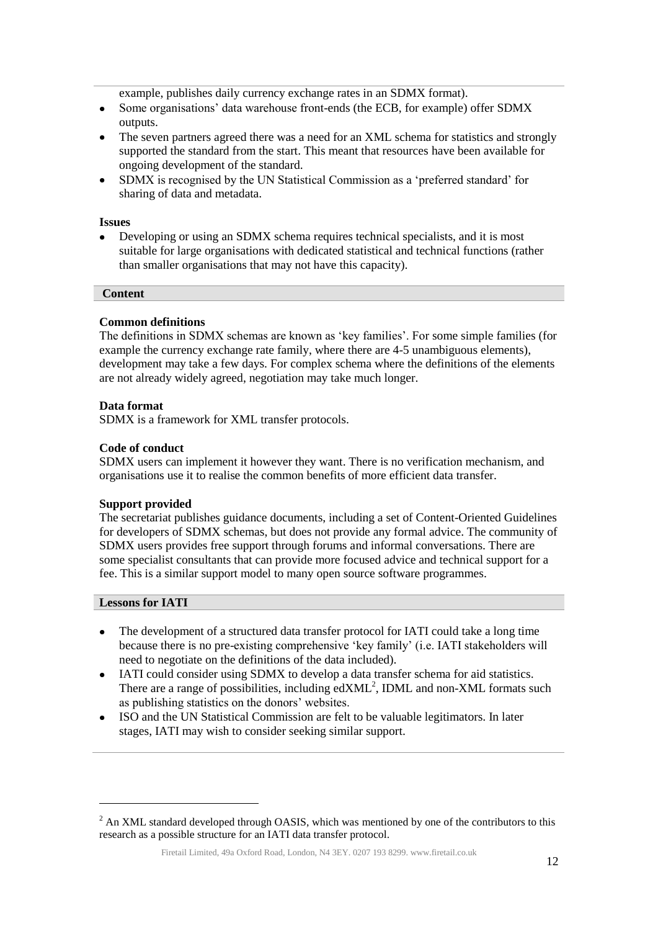example, publishes daily currency exchange rates in an SDMX format).

- Some organisations' data warehouse front-ends (the ECB, for example) offer SDMX  $\bullet$ outputs.
- $\bullet$ The seven partners agreed there was a need for an XML schema for statistics and strongly supported the standard from the start. This meant that resources have been available for ongoing development of the standard.
- SDMX is recognised by the UN Statistical Commission as a 'preferred standard' for  $\bullet$ sharing of data and metadata.

#### **Issues**

Developing or using an SDMX schema requires technical specialists, and it is most suitable for large organisations with dedicated statistical and technical functions (rather than smaller organisations that may not have this capacity).

#### **Content**

#### **Common definitions**

The definitions in SDMX schemas are known as 'key families'. For some simple families (for example the currency exchange rate family, where there are 4-5 unambiguous elements), development may take a few days. For complex schema where the definitions of the elements are not already widely agreed, negotiation may take much longer.

#### **Data format**

SDMX is a framework for XML transfer protocols.

#### **Code of conduct**

SDMX users can implement it however they want. There is no verification mechanism, and organisations use it to realise the common benefits of more efficient data transfer.

#### **Support provided**

The secretariat publishes guidance documents, including a set of Content-Oriented Guidelines for developers of SDMX schemas, but does not provide any formal advice. The community of SDMX users provides free support through forums and informal conversations. There are some specialist consultants that can provide more focused advice and technical support for a fee. This is a similar support model to many open source software programmes.

#### **Lessons for IATI**

l

- The development of a structured data transfer protocol for IATI could take a long time because there is no pre-existing comprehensive 'key family' (i.e. IATI stakeholders will need to negotiate on the definitions of the data included).
- IATI could consider using SDMX to develop a data transfer schema for aid statistics.  $\bullet$ There are a range of possibilities, including  $edXML^2$ , IDML and non-XML formats such as publishing statistics on the donors' websites.
- $\bullet$ ISO and the UN Statistical Commission are felt to be valuable legitimators. In later stages, IATI may wish to consider seeking similar support.

Firetail Limited, 49a Oxford Road, London, N4 3EY. 0207 193 8299. www.firetail.co.uk

<sup>&</sup>lt;sup>2</sup> An XML standard developed through OASIS, which was mentioned by one of the contributors to this research as a possible structure for an IATI data transfer protocol.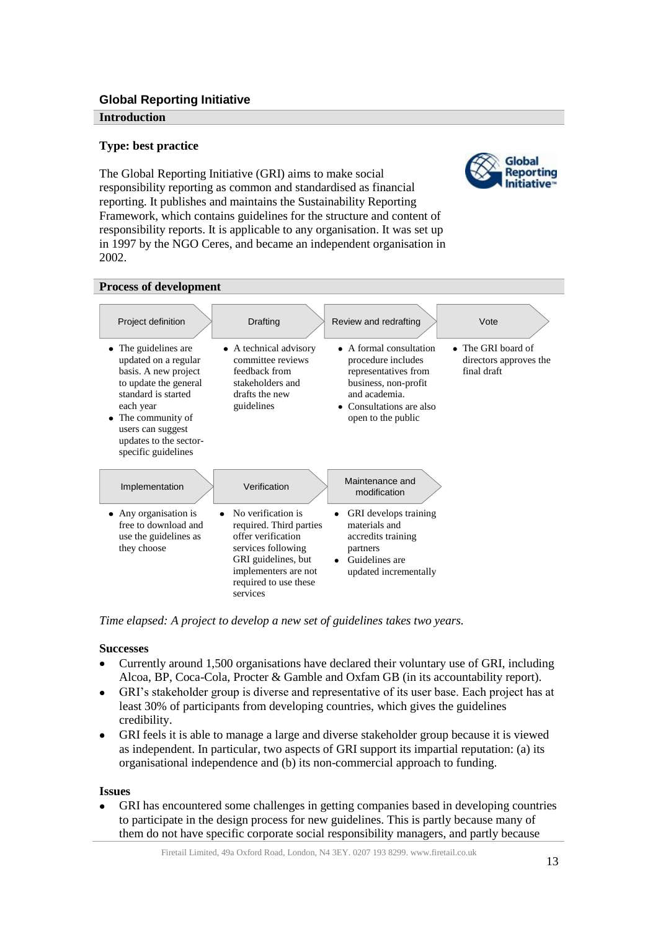## <span id="page-12-0"></span>**Global Reporting Initiative**

#### **Introduction**

## **Type: best practice**

The Global Reporting Initiative (GRI) aims to make social responsibility reporting as common and standardised as financial reporting. It publishes and maintains the Sustainability Reporting Framework, which contains guidelines for the structure and content of responsibility reports. It is applicable to any organisation. It was set up in 1997 by the NGO Ceres, and became an independent organisation in 2002.





*Time elapsed: A project to develop a new set of guidelines takes two years.*

#### **Successes**

- Currently around 1,500 organisations have declared their voluntary use of GRI, including  $\bullet$ Alcoa, BP, Coca-Cola, Procter & Gamble and Oxfam GB (in its accountability report).
- GRI's stakeholder group is diverse and representative of its user base. Each project has at  $\bullet$ least 30% of participants from developing countries, which gives the guidelines credibility.
- GRI feels it is able to manage a large and diverse stakeholder group because it is viewed  $\bullet$ as independent. In particular, two aspects of GRI support its impartial reputation: (a) its organisational independence and (b) its non-commercial approach to funding.

#### **Issues**

GRI has encountered some challenges in getting companies based in developing countries to participate in the design process for new guidelines. This is partly because many of them do not have specific corporate social responsibility managers, and partly because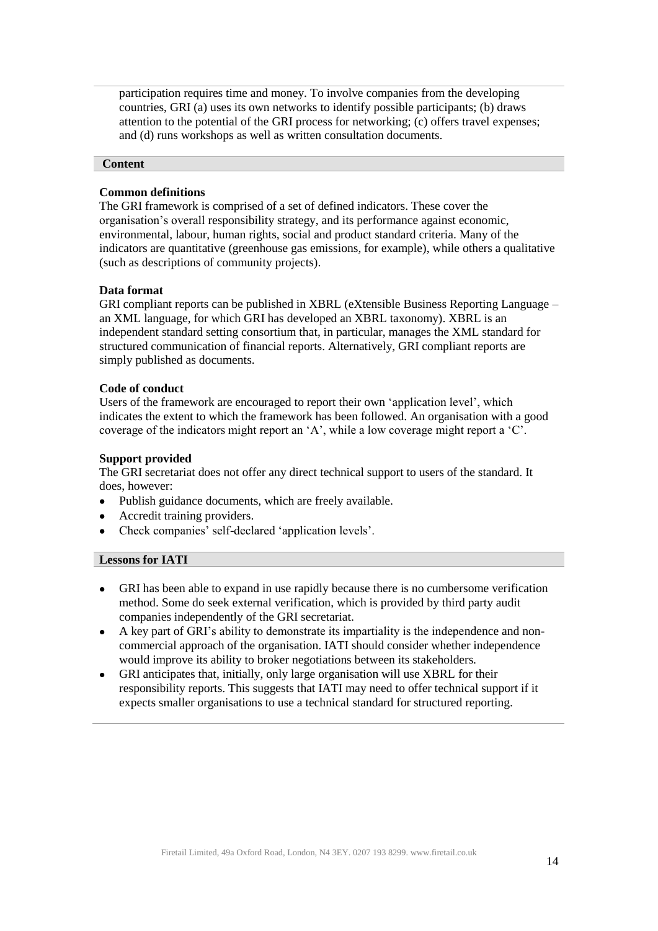participation requires time and money. To involve companies from the developing countries, GRI (a) uses its own networks to identify possible participants; (b) draws attention to the potential of the GRI process for networking; (c) offers travel expenses; and (d) runs workshops as well as written consultation documents.

#### **Content**

#### **Common definitions**

The GRI framework is comprised of a set of defined indicators. These cover the organisation's overall responsibility strategy, and its performance against economic, environmental, labour, human rights, social and product standard criteria. Many of the indicators are quantitative (greenhouse gas emissions, for example), while others a qualitative (such as descriptions of community projects).

#### **Data format**

GRI compliant reports can be published in XBRL (eXtensible Business Reporting Language – an XML language, for which GRI has developed an XBRL taxonomy). XBRL is an independent standard setting consortium that, in particular, manages the XML standard for structured communication of financial reports. Alternatively, GRI compliant reports are simply published as documents.

#### **Code of conduct**

Users of the framework are encouraged to report their own 'application level', which indicates the extent to which the framework has been followed. An organisation with a good coverage of the indicators might report an 'A', while a low coverage might report a 'C'.

#### **Support provided**

The GRI secretariat does not offer any direct technical support to users of the standard. It does, however:

- Publish guidance documents, which are freely available.  $\bullet$
- Accredit training providers.
- Check companies' self-declared 'application levels'.

- GRI has been able to expand in use rapidly because there is no cumbersome verification  $\bullet$ method. Some do seek external verification, which is provided by third party audit companies independently of the GRI secretariat.
- A key part of GRI's ability to demonstrate its impartiality is the independence and non- $\bullet$ commercial approach of the organisation. IATI should consider whether independence would improve its ability to broker negotiations between its stakeholders.
- GRI anticipates that, initially, only large organisation will use XBRL for their  $\bullet$ responsibility reports. This suggests that IATI may need to offer technical support if it expects smaller organisations to use a technical standard for structured reporting.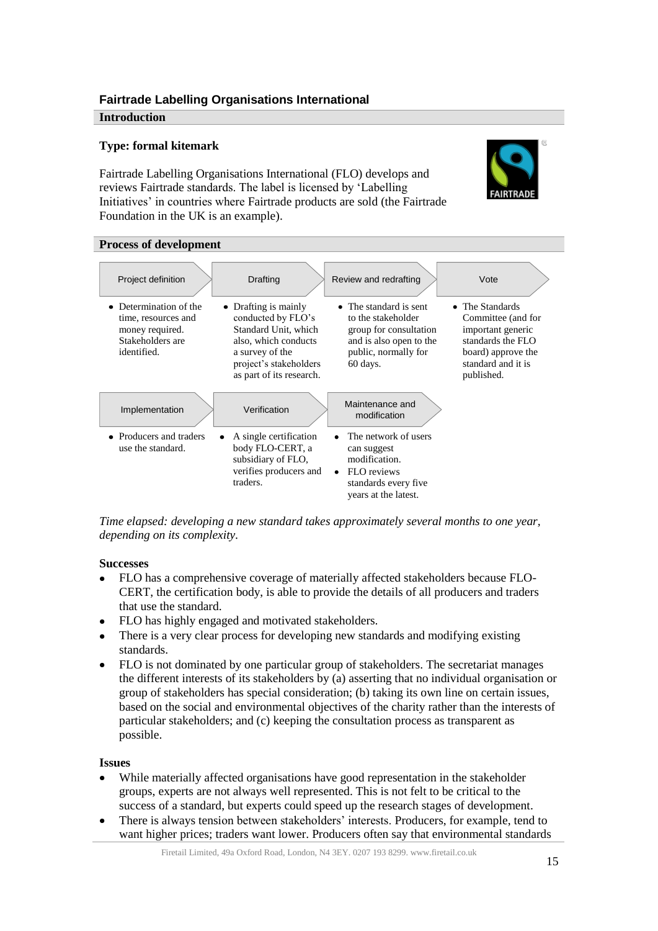## <span id="page-14-0"></span>**Fairtrade Labelling Organisations International**

#### **Introduction**

## **Type: formal kitemark**

Fairtrade Labelling Organisations International (FLO) develops and reviews Fairtrade standards. The label is licensed by 'Labelling Initiatives' in countries where Fairtrade products are sold (the Fairtrade Foundation in the UK is an example).



#### **Process of development**

| Project definition                                                                                  | Drafting                                                                                                                                                            | Review and redrafting                                                                                                                  | Vote                                                                                                                                      |
|-----------------------------------------------------------------------------------------------------|---------------------------------------------------------------------------------------------------------------------------------------------------------------------|----------------------------------------------------------------------------------------------------------------------------------------|-------------------------------------------------------------------------------------------------------------------------------------------|
| • Determination of the<br>time, resources and<br>money required.<br>Stakeholders are<br>identified. | • Drafting is mainly<br>conducted by FLO's<br>Standard Unit, which<br>also, which conducts<br>a survey of the<br>project's stakeholders<br>as part of its research. | • The standard is sent.<br>to the stakeholder<br>group for consultation<br>and is also open to the<br>public, normally for<br>60 days. | • The Standards<br>Committee (and for<br>important generic<br>standards the FLO<br>board) approve the<br>standard and it is<br>published. |
| Implementation                                                                                      | Verification                                                                                                                                                        | Maintenance and<br>modification                                                                                                        |                                                                                                                                           |
| • Producers and traders<br>use the standard.                                                        | A single certification<br>body FLO-CERT, a<br>subsidiary of FLO.<br>verifies producers and<br>traders.                                                              | The network of users<br>can suggest<br>modification.<br>FLO reviews<br>$\bullet$<br>standards every five<br>years at the latest.       |                                                                                                                                           |

*Time elapsed: developing a new standard takes approximately several months to one year, depending on its complexity.* 

#### **Successes**

- FLO has a comprehensive coverage of materially affected stakeholders because FLO- $\bullet$ CERT, the certification body, is able to provide the details of all producers and traders that use the standard.
- FLO has highly engaged and motivated stakeholders.
- There is a very clear process for developing new standards and modifying existing standards.
- FLO is not dominated by one particular group of stakeholders. The secretariat manages  $\bullet$ the different interests of its stakeholders by (a) asserting that no individual organisation or group of stakeholders has special consideration; (b) taking its own line on certain issues, based on the social and environmental objectives of the charity rather than the interests of particular stakeholders; and (c) keeping the consultation process as transparent as possible.

#### **Issues**

- While materially affected organisations have good representation in the stakeholder groups, experts are not always well represented. This is not felt to be critical to the success of a standard, but experts could speed up the research stages of development.
- There is always tension between stakeholders' interests. Producers, for example, tend to want higher prices; traders want lower. Producers often say that environmental standards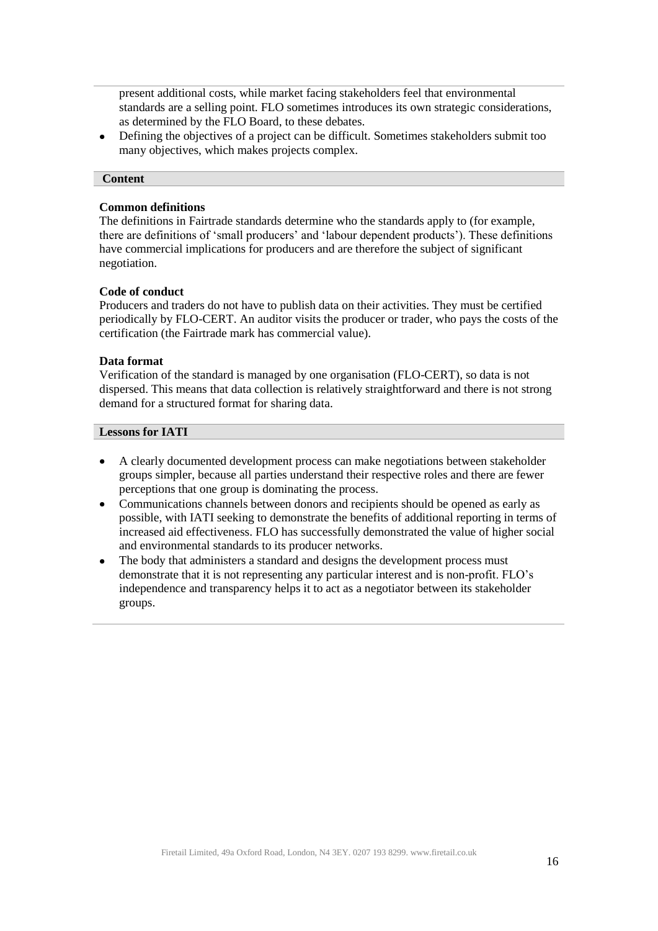present additional costs, while market facing stakeholders feel that environmental standards are a selling point. FLO sometimes introduces its own strategic considerations, as determined by the FLO Board, to these debates.

Defining the objectives of a project can be difficult. Sometimes stakeholders submit too  $\bullet$ many objectives, which makes projects complex.

#### **Content**

#### **Common definitions**

The definitions in Fairtrade standards determine who the standards apply to (for example, there are definitions of 'small producers' and 'labour dependent products'). These definitions have commercial implications for producers and are therefore the subject of significant negotiation.

#### **Code of conduct**

Producers and traders do not have to publish data on their activities. They must be certified periodically by FLO-CERT. An auditor visits the producer or trader, who pays the costs of the certification (the Fairtrade mark has commercial value).

#### **Data format**

Verification of the standard is managed by one organisation (FLO-CERT), so data is not dispersed. This means that data collection is relatively straightforward and there is not strong demand for a structured format for sharing data.

- A clearly documented development process can make negotiations between stakeholder  $\bullet$ groups simpler, because all parties understand their respective roles and there are fewer perceptions that one group is dominating the process.
- Communications channels between donors and recipients should be opened as early as possible, with IATI seeking to demonstrate the benefits of additional reporting in terms of increased aid effectiveness. FLO has successfully demonstrated the value of higher social and environmental standards to its producer networks.
- The body that administers a standard and designs the development process must  $\bullet$ demonstrate that it is not representing any particular interest and is non-profit. FLO's independence and transparency helps it to act as a negotiator between its stakeholder groups.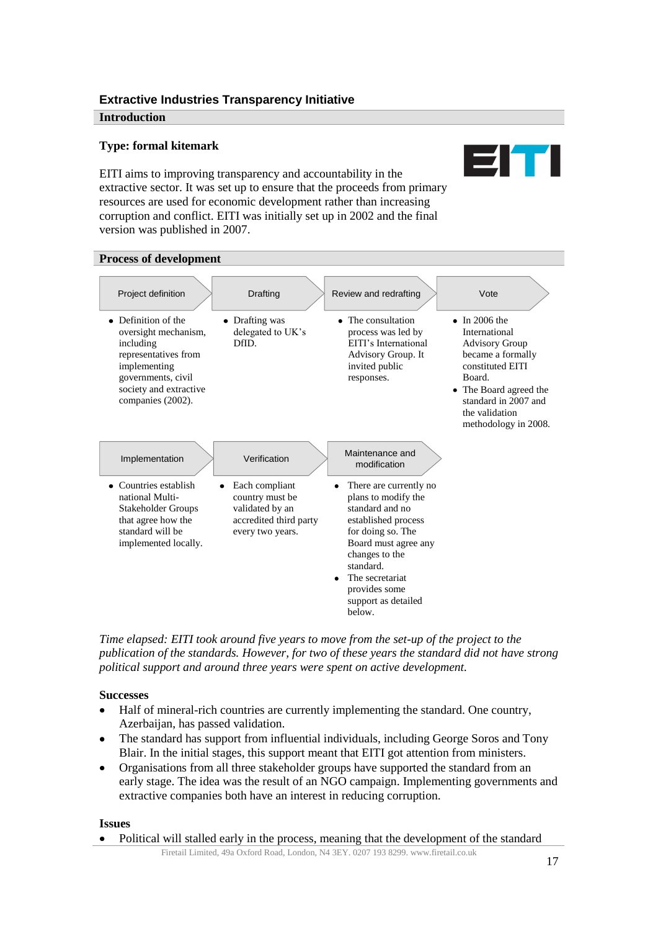## <span id="page-16-0"></span>**Extractive Industries Transparency Initiative**

#### **Introduction**

## **Type: formal kitemark**

EIT EITI aims to improving transparency and accountability in the extractive sector. It was set up to ensure that the proceeds from primary resources are used for economic development rather than increasing corruption and conflict. EITI was initially set up in 2002 and the final version was published in 2007.



*Time elapsed: EITI took around five years to move from the set-up of the project to the publication of the standards. However, for two of these years the standard did not have strong political support and around three years were spent on active development.*

## **Successes**

- Half of mineral-rich countries are currently implementing the standard. One country,  $\bullet$ Azerbaijan, has passed validation.
- The standard has support from influential individuals, including George Soros and Tony  $\bullet$ Blair. In the initial stages, this support meant that EITI got attention from ministers.
- Organisations from all three stakeholder groups have supported the standard from an early stage. The idea was the result of an NGO campaign. Implementing governments and extractive companies both have an interest in reducing corruption.

#### **Issues**

Political will stalled early in the process, meaning that the development of the standard

Firetail Limited, 49a Oxford Road, London, N4 3EY. 0207 193 8299. www.firetail.co.uk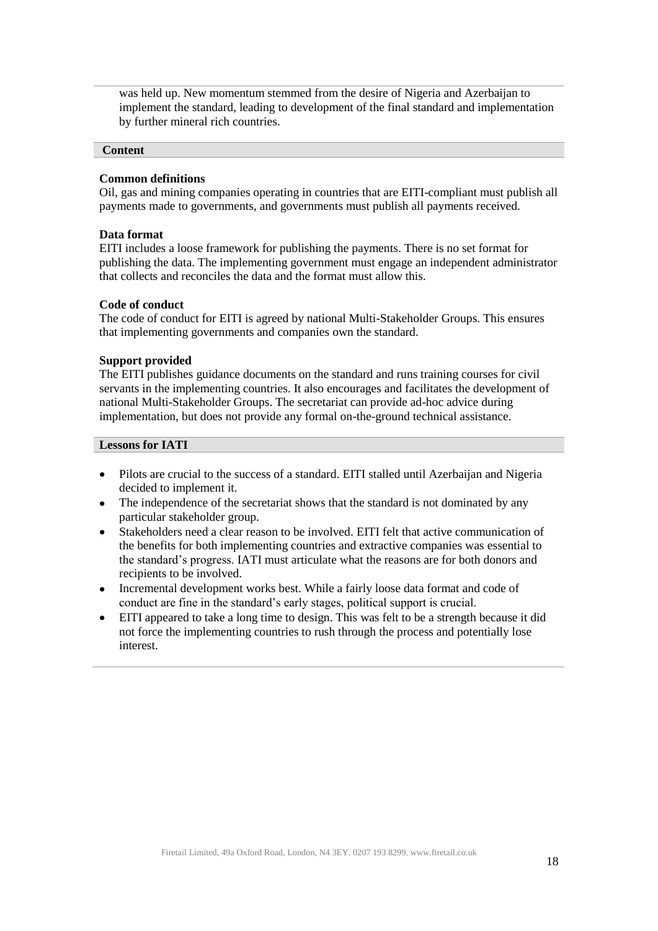was held up. New momentum stemmed from the desire of Nigeria and Azerbaijan to implement the standard, leading to development of the final standard and implementation by further mineral rich countries.

#### **Content**

#### **Common definitions**

Oil, gas and mining companies operating in countries that are EITI-compliant must publish all payments made to governments, and governments must publish all payments received.

#### **Data format**

EITI includes a loose framework for publishing the payments. There is no set format for publishing the data. The implementing government must engage an independent administrator that collects and reconciles the data and the format must allow this.

#### **Code of conduct**

The code of conduct for EITI is agreed by national Multi-Stakeholder Groups. This ensures that implementing governments and companies own the standard.

### **Support provided**

The EITI publishes guidance documents on the standard and runs training courses for civil servants in the implementing countries. It also encourages and facilitates the development of national Multi-Stakeholder Groups. The secretariat can provide ad-hoc advice during implementation, but does not provide any formal on-the-ground technical assistance.

- Pilots are crucial to the success of a standard. EITI stalled until Azerbaijan and Nigeria decided to implement it.
- The independence of the secretariat shows that the standard is not dominated by any  $\bullet$ particular stakeholder group.
- Stakeholders need a clear reason to be involved. EITI felt that active communication of  $\bullet$ the benefits for both implementing countries and extractive companies was essential to the standard's progress. IATI must articulate what the reasons are for both donors and recipients to be involved.
- Incremental development works best. While a fairly loose data format and code of  $\bullet$ conduct are fine in the standard's early stages, political support is crucial.
- EITI appeared to take a long time to design. This was felt to be a strength because it did  $\bullet$ not force the implementing countries to rush through the process and potentially lose interest.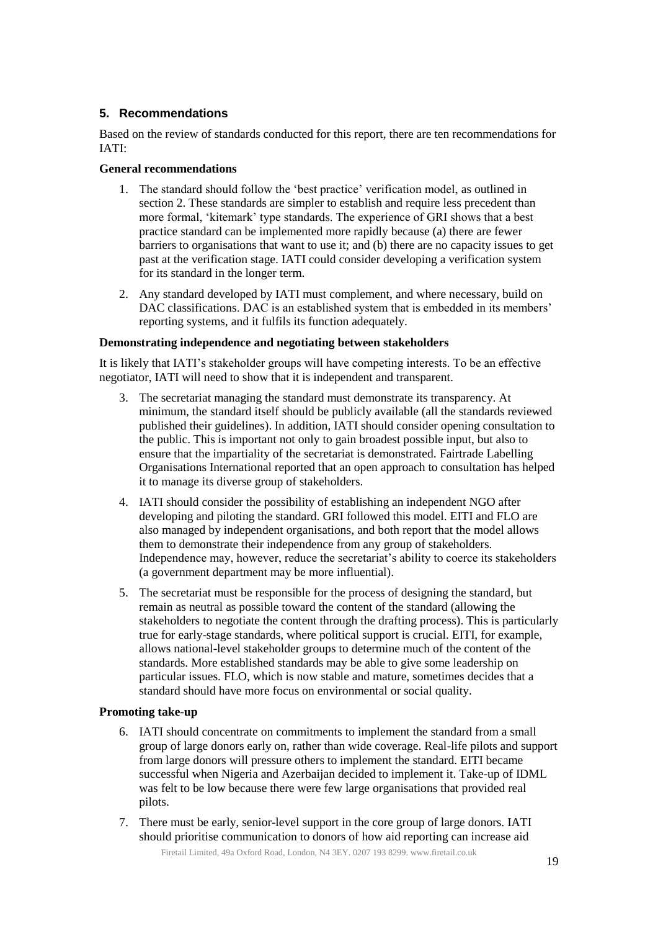## <span id="page-18-0"></span>**5. Recommendations**

Based on the review of standards conducted for this report, there are ten recommendations for IATI:

### **General recommendations**

- 1. The standard should follow the 'best practice' verification model, as outlined in section 2. These standards are simpler to establish and require less precedent than more formal, 'kitemark' type standards. The experience of GRI shows that a best practice standard can be implemented more rapidly because (a) there are fewer barriers to organisations that want to use it; and (b) there are no capacity issues to get past at the verification stage. IATI could consider developing a verification system for its standard in the longer term.
- 2. Any standard developed by IATI must complement, and where necessary, build on DAC classifications. DAC is an established system that is embedded in its members' reporting systems, and it fulfils its function adequately.

## **Demonstrating independence and negotiating between stakeholders**

It is likely that IATI's stakeholder groups will have competing interests. To be an effective negotiator, IATI will need to show that it is independent and transparent.

- 3. The secretariat managing the standard must demonstrate its transparency. At minimum, the standard itself should be publicly available (all the standards reviewed published their guidelines). In addition, IATI should consider opening consultation to the public. This is important not only to gain broadest possible input, but also to ensure that the impartiality of the secretariat is demonstrated. Fairtrade Labelling Organisations International reported that an open approach to consultation has helped it to manage its diverse group of stakeholders.
- 4. IATI should consider the possibility of establishing an independent NGO after developing and piloting the standard. GRI followed this model. EITI and FLO are also managed by independent organisations, and both report that the model allows them to demonstrate their independence from any group of stakeholders. Independence may, however, reduce the secretariat's ability to coerce its stakeholders (a government department may be more influential).
- 5. The secretariat must be responsible for the process of designing the standard, but remain as neutral as possible toward the content of the standard (allowing the stakeholders to negotiate the content through the drafting process). This is particularly true for early-stage standards, where political support is crucial. EITI, for example, allows national-level stakeholder groups to determine much of the content of the standards. More established standards may be able to give some leadership on particular issues. FLO, which is now stable and mature, sometimes decides that a standard should have more focus on environmental or social quality.

#### **Promoting take-up**

- 6. IATI should concentrate on commitments to implement the standard from a small group of large donors early on, rather than wide coverage. Real-life pilots and support from large donors will pressure others to implement the standard. EITI became successful when Nigeria and Azerbaijan decided to implement it. Take-up of IDML was felt to be low because there were few large organisations that provided real pilots.
- 7. There must be early, senior-level support in the core group of large donors. IATI should prioritise communication to donors of how aid reporting can increase aid

Firetail Limited, 49a Oxford Road, London, N4 3EY. 0207 193 8299. www.firetail.co.uk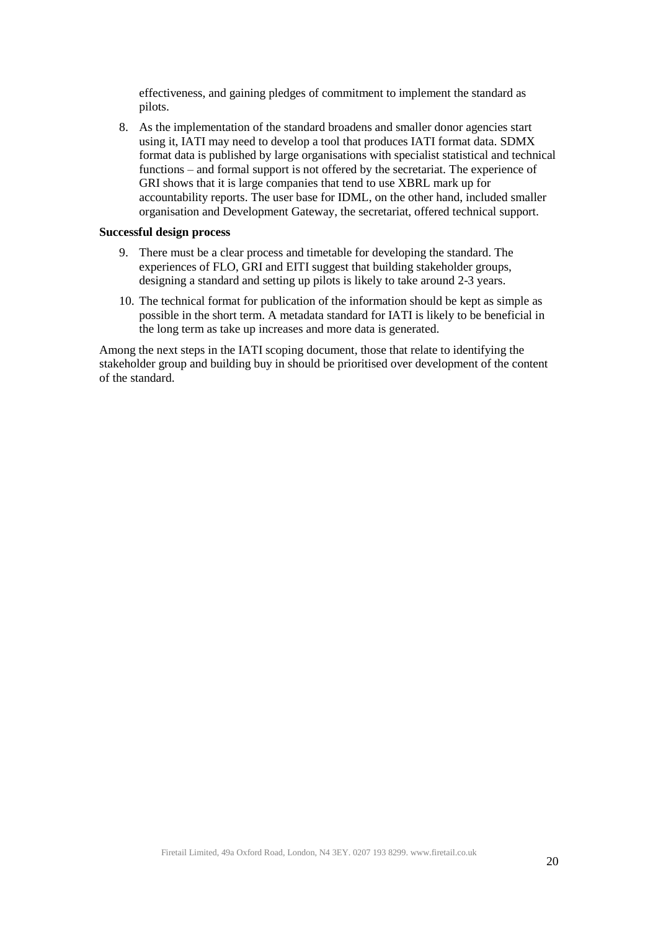effectiveness, and gaining pledges of commitment to implement the standard as pilots.

8. As the implementation of the standard broadens and smaller donor agencies start using it, IATI may need to develop a tool that produces IATI format data. SDMX format data is published by large organisations with specialist statistical and technical functions – and formal support is not offered by the secretariat. The experience of GRI shows that it is large companies that tend to use XBRL mark up for accountability reports. The user base for IDML, on the other hand, included smaller organisation and Development Gateway, the secretariat, offered technical support.

#### **Successful design process**

- 9. There must be a clear process and timetable for developing the standard. The experiences of FLO, GRI and EITI suggest that building stakeholder groups, designing a standard and setting up pilots is likely to take around 2-3 years.
- 10. The technical format for publication of the information should be kept as simple as possible in the short term. A metadata standard for IATI is likely to be beneficial in the long term as take up increases and more data is generated.

Among the next steps in the IATI scoping document, those that relate to identifying the stakeholder group and building buy in should be prioritised over development of the content of the standard.